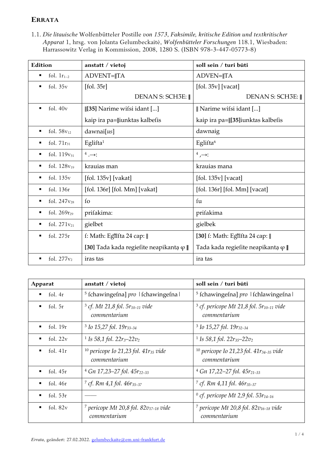## **ERRATA**

1.1. *Die litauische* Wolfenbütteler Postille *von 1573*, *Faksimile, kritische Edition und textkritischer Apparat* 1, hrsg. von Jolanta Gelumbeckaitė, *Wolfenbütteler Forschungen* 118.1, Wiesbaden: Harrassowitz Verlag in Kommission, 2008, 1280 S. (ISBN 978-3-447-05773-8)

| Edition                            | anstatt / vietoj                                        | soll sein / turi būti                    |
|------------------------------------|---------------------------------------------------------|------------------------------------------|
| fol. $1r_{1-2}$<br>٠               | ADVENT=  TA                                             | ADVEN=  TA                               |
| fol. $35v$<br>٠                    | [fol. 35r]                                              | [fol. 35v] [vacat]                       |
|                                    | DENAN S: SCH3E:                                         | DENAN S: SCH3E:                          |
| fol. $40v$<br>$\blacksquare$       | [35] Narime wifsi idant []                              | Narime wifsi idant []                    |
|                                    | kaip ira pa=  iunktas kalbefis                          | kaip ira pa=  [35]iunktas kalbefis       |
| fol. $58v_{12}$<br>$\blacksquare$  | dawnai[us]                                              | dawnaig                                  |
| fol. $71r_{31}$<br>$\blacksquare$  | Eglifta <sup>1</sup>                                    | Eglifta <sup>6</sup>                     |
| fol. $119v_{31}$<br>٠              | $4 \rightarrow$                                         | $4\rightarrow$                           |
| fol. $128v_{19}$<br>$\blacksquare$ | krauias man                                             | krauias mana                             |
| fol. $135v$<br>٠                   | [fol. 135v] [vakat]                                     | $[$ fol. 135 $v$ ] [vacat]               |
| fol. 136r<br>٠                     | [fol. 136r] [fol. Mm] [vakat]                           | [fol. 136r] [fol. Mm] [vacat]            |
| fol. $247v_{28}$<br>٠              | fo                                                      | fu                                       |
| fol. 269r <sub>29</sub><br>٠       | prifakima:                                              | prifakima                                |
| fol. 271v <sub>21</sub><br>٠       | gielbet                                                 | gielbek                                  |
| fol. 275r<br>$\blacksquare$        | f: Math: Eglifta 24 cap:∥                               | [30] f: Math: Eglifta 24 cap:            |
|                                    | [30] Tada kada regiefite neapikanta $\varphi \parallel$ | Tada kada regiefite neapikanta $\varphi$ |
| fol. $277v_2$<br>$\blacksquare$    | iras tas                                                | ira tas                                  |

| Apparat                      | anstatt / vietoj                                                       | soll sein / turi būti                                                    |
|------------------------------|------------------------------------------------------------------------|--------------------------------------------------------------------------|
| fol. 4r<br>٠                 | <sup>5</sup> fchawingefna] pro   fchawingefna                          | <sup>5</sup> fchawingefna] pro   fchlawingefna                           |
| fol. 5r<br>٠                 | $3$ cf. Mt 21,8 fol. $5r_{10-11}$ vide<br>commentarium                 | <sup>3</sup> cf. pericope Mt 21,8 fol. $5r_{10-11}$ vide<br>commentarium |
| fol. $19r$<br>٠              | $3$ Io 15,27 fol. 19 $r_{33-34}$                                       | $3$ Io 15,27 fol. 19 $r_{32-34}$                                         |
| fol. $22v$<br>٠              | <sup>1</sup> Is 58,1 fol. $22r_3 - 22v_2$                              | <sup>1</sup> Is 58,1 fol. $22r_{35}$ -22 $v_2$                           |
| fol. $41r$<br>$\blacksquare$ | <sup>10</sup> pericope Io 21,23 fol. $41r_{35}$ vide<br>commentarium   | <sup>10</sup> pericope Io 21,23 fol. $41r_{34-35}$ vide<br>commentarium  |
| fol. $45r$<br>٠              | $4$ Gn 17,23–27 fol. $45r_{22-33}$                                     | $4$ Gn 17,22–27 fol. $45r_{21-33}$                                       |
| fol. $46r$<br>$\blacksquare$ | <sup>7</sup> cf. Rm 4,1 fol. $46r_{35-37}$                             | <sup>7</sup> cf. Rm 4,11 fol. $46r_{35-37}$                              |
| fol. $53r$<br>٠              |                                                                        | <sup>0</sup> cf. pericope Mt 2,9 fol. 53 $r_{14-16}$                     |
| fol. $82v$<br>٠              | <sup>7</sup> pericope Mt 20,8 fol. 82 $v_{17-18}$ vide<br>commentarium | <sup>7</sup> pericope Mt 20,8 fol. 82 $v_{16-18}$ vide<br>commentarium   |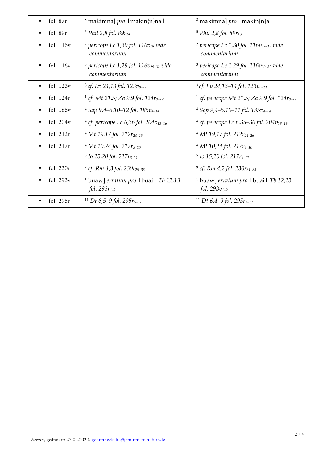| fol. 87r<br>$\blacksquare$    | 8 makimna] pro   makin{n}na                                            | <sup>8</sup> makimna] <i>pro</i>   makin{n}a                            |
|-------------------------------|------------------------------------------------------------------------|-------------------------------------------------------------------------|
| fol. 89r<br>$\blacksquare$    | <sup>5</sup> Phil 2,8 fol. 89r <sub>14</sub>                           | <sup>5</sup> Phil 2,8 fol. 89r <sub>13</sub>                            |
| fol. $116v$<br>٠              | <sup>2</sup> pericope Lc 1,30 fol. $116v_{18}$ vide<br>commentarium    | <sup>2</sup> pericope Lc 1,30 fol. 116 $v_{17-18}$ vide<br>commentarium |
| fol. $116v$<br>$\blacksquare$ | <sup>3</sup> pericope Lc 1,29 fol. $116v_{29-32}$ vide<br>commentarium | <sup>3</sup> pericope Lc 1,29 fol. $116v_{30-32}$ vide<br>commentarium  |
| fol. $123v$<br>٠              | $3 cf. Lv 24, 13 fol. 123 v_{8-11}$                                    | $3 cf. Lv 24, 13–14 fol. 123v8–11$                                      |
| fol. 124r<br>٠                | <sup>1</sup> cf. Mt 21,5; Za 9,9 fol. 124r <sub>9-12</sub>             | <sup>1</sup> cf. pericope Mt 21,5; Za 9,9 fol. 124r <sub>9-12</sub>     |
| fol. $185v$<br>٠              | $4$ Sap 9,4-5.10-12 fol. 185 $v_{4-14}$                                | $4$ Sap 9,4–5.10–11 fol. 185 $v_{4-14}$                                 |
| fol. $204v$<br>٠              | <sup>4</sup> cf. pericope Lc 6,36 fol. 204 $v_{13-16}$                 | <sup>4</sup> cf. pericope Lc 6,35–36 fol. 204 $v_{13-16}$               |
| fol. 212r<br>٠                | $4 Mt$ 19,17 fol. 212 $r_{24-25}$                                      | $4 Mt$ 19,17 fol. 212 $r_{24-26}$                                       |
| fol. 217r<br>$\blacksquare$   | $4 Mt 10,24 fol. 217r_{8-10}$                                          | $4 Mt 10,24 fol. 217r_{9-10}$                                           |
|                               | <sup>5</sup> Io 15,20 fol. 217r <sub>8-11</sub>                        | <sup>5</sup> Io 15,20 fol. 217r <sub>9-11</sub>                         |
| fol. 230r<br>٠                | $^{9}$ cf. Rm 4,3 fol. 230r <sub>29-33</sub>                           | <sup>9</sup> cf. Rm 4,2 fol. 230r <sub>31-33</sub>                      |
| fol. 293v<br>$\blacksquare$   | <sup>1</sup> buaw] erratum pro   buai   Tb 12,13<br>fol. $293r_{1-2}$  | <sup>1</sup> buaw] erratum pro   buai   Tb 12,13<br>fol. $293v_{1-2}$   |
| fol. 295r<br>$\blacksquare$   | <sup>11</sup> Dt 6,5–9 fol. 295 $r_{5-17}$                             | <sup>11</sup> Dt 6,4–9 fol. 295 $r_{5-17}$                              |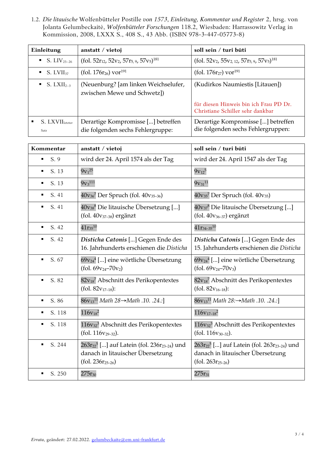1.2. *Die litauische* Wolfenbütteler Postille *von 1573*, *Einleitung, Kommentar und Register* 2, hrsg. von Jolanta Gelumbeckaitė, *Wolfenbütteler Forschungen* 118.2, Wiesbaden: Harrassowitz Verlag in Kommission, 2008, LXXX S., 408 S., 43 Abb. (ISBN 978-3-447-05773-8)

| Einleitung                              | anstatt / vietoj                                                        | soll sein / turi būti                                                      |
|-----------------------------------------|-------------------------------------------------------------------------|----------------------------------------------------------------------------|
| $\bullet$ S. LIV <sub>25-26</sub>       | (fol. 52 $r_{12}$ , 52 $v_2$ , 57 $r_{5,9}$ , 57 $v_5$ ) <sup>181</sup> | (fol. 52 $v_2$ , 55 $v_2$ , 12, 57 $r_5$ , 9, 57 $v_5$ ) <sup>181</sup>    |
| $\bullet$ S. LVII <sub>37</sub>         | (fol. $176r_{26}$ ) vor <sup>191</sup>                                  | (fol. $176r_{27}$ ) vor <sup>191</sup>                                     |
| $\bullet$ S. LXII <sub>2-3</sub>        | (Neuenburg? [am linken Weichselufer,<br>zwischen Mewe und Schwetz])     | (Kudirkos Naumiestis [Litauen])                                            |
|                                         |                                                                         | für diesen Hinweis bin ich Frau PD Dr.<br>Christiane Schiller sehr dankbar |
| S. LXVII <sub>letter</sub><br>٠<br>Satz | Derartige Kompromisse [] betreffen<br>die folgenden sechs Fehlergruppe: | Derartige Kompromisse [] betreffen<br>die folgenden sechs Fehlergruppen:   |

| Kommentar                | anstatt / vietoj                                                                                                                              | soll sein / turi būti                                                                                                                         |
|--------------------------|-----------------------------------------------------------------------------------------------------------------------------------------------|-----------------------------------------------------------------------------------------------------------------------------------------------|
| S. 9<br>٠                | wird der 24. April 1574 als der Tag                                                                                                           | wird der 24. April 1547 als der Tag                                                                                                           |
| S. 13                    | $9v_1^{25}$                                                                                                                                   | $9v_{12}^5$                                                                                                                                   |
| S. 13                    | $9v_3$ <sup>111</sup>                                                                                                                         | $9v_{31}^{11}$                                                                                                                                |
| S. 41                    | 40v <sub>36</sub> 7 Der Spruch (fol. 40v <sub>35-36</sub> )                                                                                   | $40v_{35}$ <sup>7</sup> Der Spruch (fol. $40v_{35}$ )                                                                                         |
| S. 41<br>$\blacksquare$  | $40v_{38}$ <sup>8</sup> Die litauische Übersetzung []<br>(fol. 40v <sub>37-38</sub> ) ergänzt                                                 | $40v_{37}$ <sup>8</sup> Die litauische Übersetzung []<br>$(fol. 40v_{36-37})$ ergänzt                                                         |
| S. 42                    | $41r_{35}^{10}$                                                                                                                               | $41r_{34-35}^{10}$                                                                                                                            |
| S. 42<br>٠               | Disticha Catonis [] Gegen Ende des<br>16. Jahrhunderts erschienen die Disticha                                                                | Disticha Catonis [] Gegen Ende des<br>15. Jahrhunderts erschienen die Disticha                                                                |
| S. 67<br>٠               | $69v_{24}$ <sup>4</sup> [] eine wörtliche Übersetzung<br>$(fol. 69v_{24}-70v_2)$                                                              | $69v_{24}$ <sup>4</sup> [] eine wörtliche Übersetzung<br>(fol. $69v_{24} - 70v_3$ )                                                           |
| S. 82<br>$\blacksquare$  | 82v <sub>18</sub> 7 Abschnitt des Perikopentextes<br>$(fol. 82v_{17-18})$ :                                                                   | $82v_{18}$ <sup>7</sup> Abschnitt des Perikopentextes<br>$(fol. 82v_{16-18})$ :                                                               |
| S. 86                    | 86v <sub>13</sub> <sup>11</sup> Math 28→Math .10. .24.:]                                                                                      | 86v <sub>13</sub> <sup>11</sup> Math 28:→Math .10. .24.:]                                                                                     |
| S. 118<br>$\blacksquare$ | $116v_{18}^2$                                                                                                                                 | $116v_{17-18}^2$                                                                                                                              |
| S. 118                   | 116v <sub>32</sub> <sup>3</sup> Abschnitt des Perikopentextes<br>(fol. $116v_{29-32}$ ).                                                      | 116v <sub>32</sub> <sup>3</sup> Abschnitt des Perikopentextes<br>(fol. $116v_{30-32}$ ).                                                      |
| S. 244<br>$\blacksquare$ | 263r <sub>22</sub> <sup>5</sup> [] auf Latein (fol. 236r <sub>23-24</sub> ) und<br>danach in litauischer Übersetzung<br>$(fol. 236r_{25-26})$ | 263r <sub>22</sub> <sup>5</sup> [] auf Latein (fol. 263r <sub>23-24</sub> ) und<br>danach in litauischer Übersetzung<br>$(fol. 263r_{25-26})$ |
| S. 250                   | $275r_{30}$                                                                                                                                   | $275r_{31}$                                                                                                                                   |